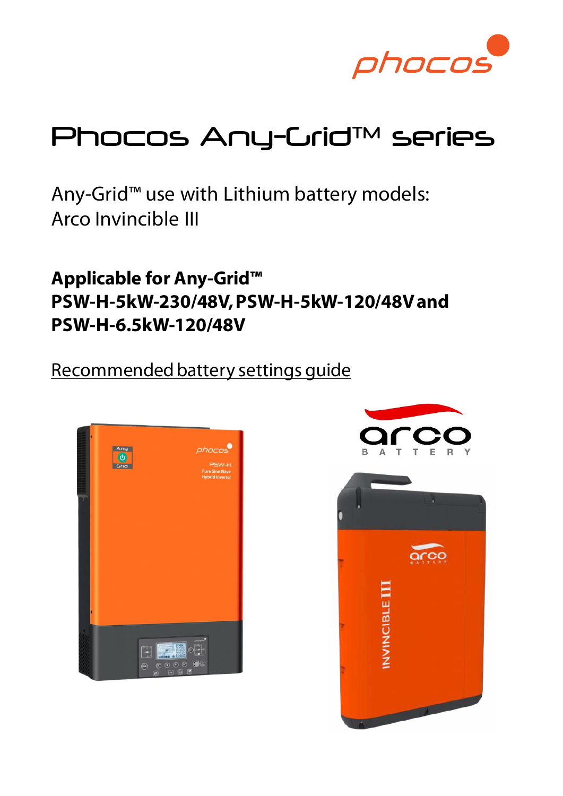

# Phocos Any-Grid™ series

Any-Grid™ use with Lithium battery models: Arco Invincible III

**Applicable for Any-Grid™ PSW-H-5kW-230/48V, PSW-H-5kW-120/48V and PSW-H-6.5kW-120/48V**

Recommended battery settings guide



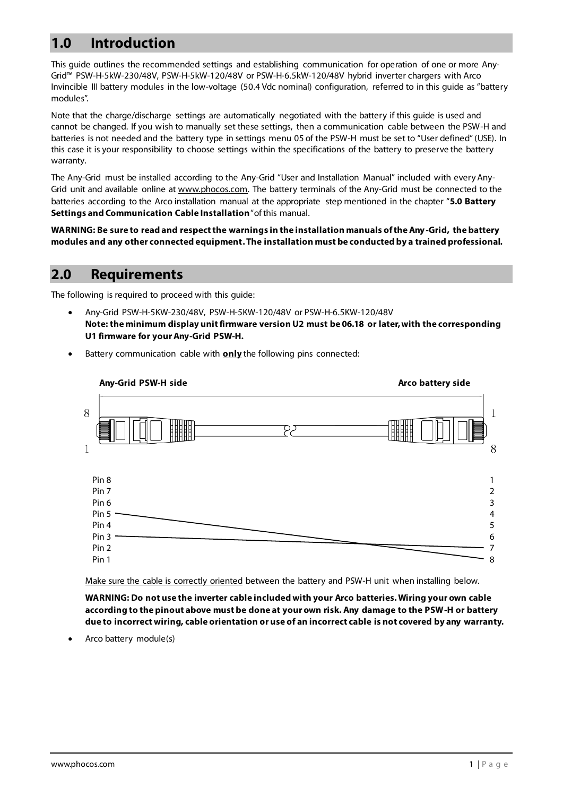## **1.0 Introduction**

This guide outlines the recommended settings and establishing communication for operation of one or more Any-Grid™ PSW-H-5kW-230/48V, PSW-H-5kW-120/48V or PSW-H-6.5kW-120/48V hybrid inverter chargers with Arco Invincible III battery modules in the low-voltage (50.4 Vdc nominal) configuration, referred to in this guide as "battery modules".

Note that the charge/discharge settings are automatically negotiated with the battery if this guide is used and cannot be changed. If you wish to manually set these settings, then a communication cable between the PSW-H and batteries is not needed and the battery type in settings menu 05 of the PSW-H must be set to "User defined" (USE). In this case it is your responsibility to choose settings within the specifications of the battery to preserve the battery warranty.

The Any-Grid must be installed according to the Any-Grid "User and Installation Manual" included with every AnyGrid unit and available online a[t www.phocos.com.](http://www.phocos.com/) The battery terminals of the Any-Grid must be connected to the batteries according to the Arco installation manual at the appropriate step mentioned in the chapter "**5.0 Battery Settings and Communication Cable Installation**" of this manual.

**WARNING: Be sure to read and respect the warnings in the installation manuals of the Any -Grid, the battery modules and any other connected equipment. The installation must be conducted by a trained professional.**

### **2.0 Requirements**

The following is required to proceed with this guide:

• Any-Grid PSW-H-5KW-230/48V, PSW-H-5KW-120/48V or PSW-H-6.5KW-120/48V **Note: the minimum display unit firmware version U2 must be 06.18 or later, with the corresponding U1 firmware for your Any-Grid PSW-H.**



Battery communication cable with **only** the following pins connected:

Make sure the cable is correctly oriented between the battery and PSW-H unit when installing below.

**WARNING: Do not use the inverter cable included with your Arco batteries. Wiring your own cable according to the pinout above must be done at your own risk. Any damage to the PSW-H or battery due to incorrect wiring, cable orientation or use of an incorrect cable is not covered by any warranty.**

• Arco battery module(s)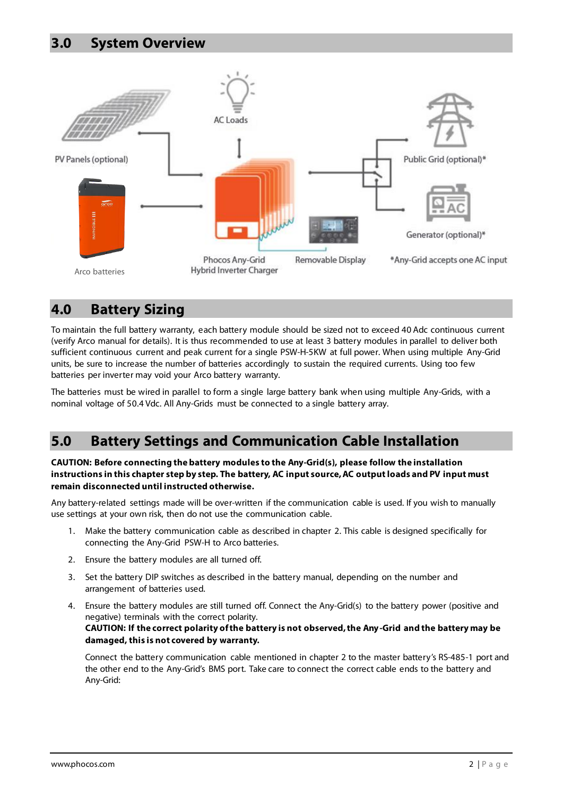

### **4.0 Battery Sizing**

To maintain the full battery warranty, each battery module should be sized not to exceed 40 Adc continuous current (verify Arco manual for details). It is thus recommended to use at least 3 battery modules in parallel to deliver both sufficient continuous current and peak current for a single PSW-H-5KW at full power. When using multiple Any-Grid units, be sure to increase the number of batteries accordingly to sustain the required currents. Using too few batteries per inverter may void your Arco battery warranty.

The batteries must be wired in parallel to form a single large battery bank when using multiple Any-Grids, with a nominal voltage of 50.4 Vdc. All Any-Grids must be connected to a single battery array.

### **5.0 Battery Settings and Communication Cable Installation**

**CAUTION: Before connecting the battery modules to the Any-Grid(s), please follow the installation instructions in this chapter step by step. The battery, AC input source, AC output loads and PV input must remain disconnected until instructed otherwise.**

Any battery-related settings made will be over-written if the communication cable is used. If you wish to manually use settings at your own risk, then do not use the communication cable.

- 1. Make the battery communication cable as described in chapter 2. This cable is designed specifically for connecting the Any-Grid PSW-H to Arco batteries.
- 2. Ensure the battery modules are all turned off.
- 3. Set the battery DIP switches as described in the battery manual, depending on the number and arrangement of batteries used.
- 4. Ensure the battery modules are still turned off. Connect the Any-Grid(s) to the battery power (positive and negative) terminals with the correct polarity.

**CAUTION: If the correct polarity of the battery is not observed, the Any -Grid and the battery may be damaged, this is not covered by warranty.**

Connect the battery communication cable mentioned in chapter 2 to the master battery's RS-485-1 port and the other end to the Any-Grid's BMS port. Take care to connect the correct cable ends to the battery and Any-Grid: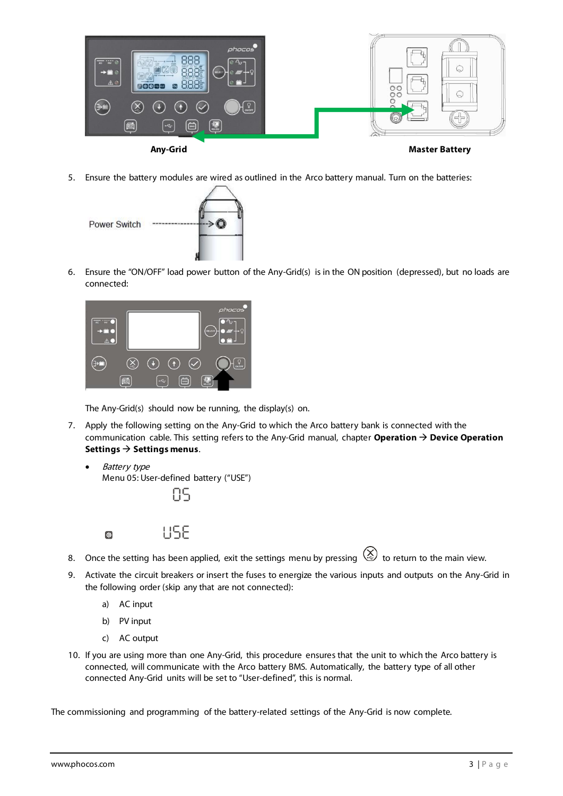

5. Ensure the battery modules are wired as outlined in the Arco battery manual. Turn on the batteries:



6. Ensure the "ON/OFF" load power button of the Any-Grid(s) is in the ON position (depressed), but no loads are connected:



The Any-Grid(s) should now be running, the display(s) on.

- 7. Apply the following setting on the Any-Grid to which the Arco battery bank is connected with the communication cable. This setting refers to the Any-Grid manual, chapter **Operation** → **Device Operation Settings** → **Settings menus**.
	- Battery type Menu 05: User-defined battery ("USE")



LISE

8. Once the setting has been applied, exit the settings menu by pressing  $\bigotimes$  to return to the main view.

- 9. Activate the circuit breakers or insert the fuses to energize the various inputs and outputs on the Any-Grid in the following order (skip any that are not connected):
	- a) AC input

彝

- b) PV input
- c) AC output
- 10. If you are using more than one Any-Grid, this procedure ensures that the unit to which the Arco battery is connected, will communicate with the Arco battery BMS. Automatically, the battery type of all other connected Any-Grid units will be set to "User-defined", this is normal.

The commissioning and programming of the battery-related settings of the Any-Grid is now complete.